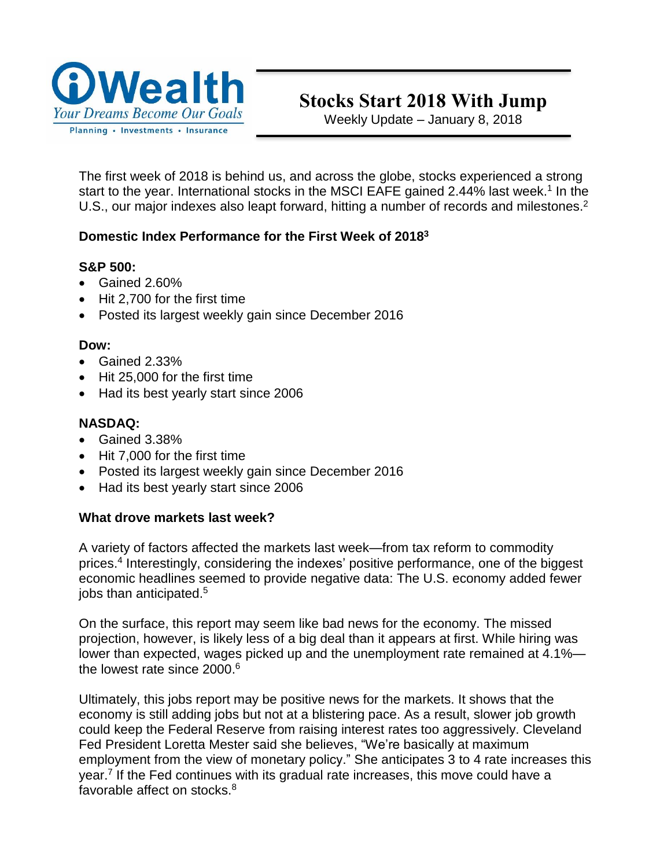

# Stocks Start 2018 With Jump

Weekly Update – January 8, 2018

The first week of 2018 is behind us, and across the globe, stocks experienced a strong start to the year. International stocks in the MSCI EAFE gained 2.44% last week.<sup>1</sup> In the U.S., our major indexes also leapt forward, hitting a number of records and milestones.<sup>2</sup>

## **Domestic Index Performance for the First Week of 2018<sup>3</sup>**

## **S&P 500:**

- Gained 2.60%
- Hit 2.700 for the first time
- Posted its largest weekly gain since December 2016

#### **Dow:**

- Gained 2.33%
- Hit 25,000 for the first time
- Had its best yearly start since 2006

# **NASDAQ:**

- Gained 3.38%
- Hit 7,000 for the first time
- Posted its largest weekly gain since December 2016
- Had its best yearly start since 2006

#### **What drove markets last week?**

A variety of factors affected the markets last week—from tax reform to commodity prices.<sup>4</sup> Interestingly, considering the indexes' positive performance, one of the biggest economic headlines seemed to provide negative data: The U.S. economy added fewer jobs than anticipated.<sup>5</sup>

On the surface, this report may seem like bad news for the economy. The missed projection, however, is likely less of a big deal than it appears at first. While hiring was lower than expected, wages picked up and the unemployment rate remained at 4.1% the lowest rate since 2000. 6

Ultimately, this jobs report may be positive news for the markets. It shows that the economy is still adding jobs but not at a blistering pace. As a result, slower job growth could keep the Federal Reserve from raising interest rates too aggressively. Cleveland Fed President Loretta Mester said she believes, "We're basically at maximum employment from the view of monetary policy." She anticipates 3 to 4 rate increases this year.<sup>7</sup> If the Fed continues with its gradual rate increases, this move could have a favorable affect on stocks.<sup>8</sup>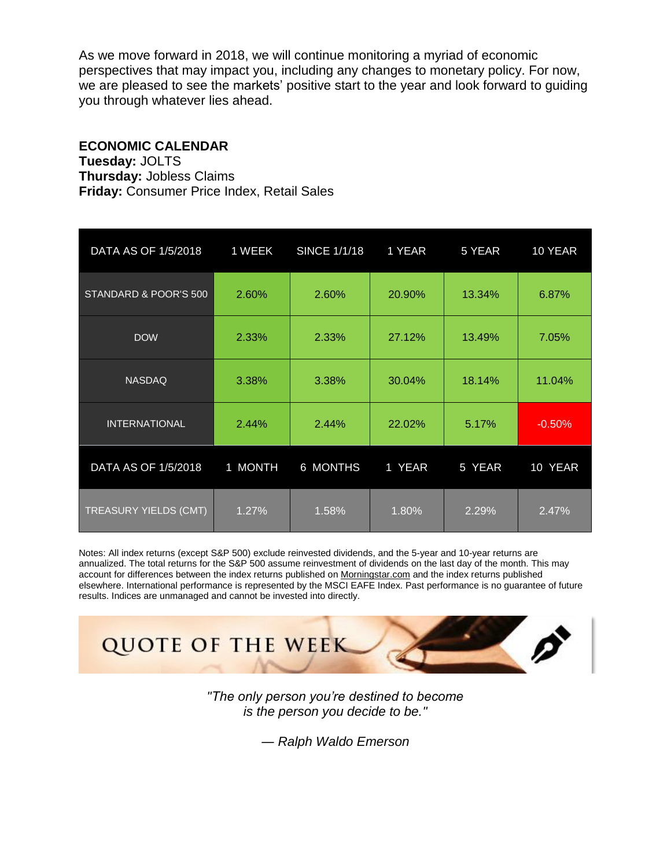As we move forward in 2018, we will continue monitoring a myriad of economic perspectives that may impact you, including any changes to monetary policy. For now, we are pleased to see the markets' positive start to the year and look forward to guiding you through whatever lies ahead.

## **ECONOMIC CALENDAR**

**Tuesday:** JOLTS **Thursday:** Jobless Claims **Friday:** Consumer Price Index, Retail Sales

| DATA AS OF 1/5/2018          | $1$ WEEK | <b>SINCE 1/1/18</b> | 1 YEAR | 5 YEAR | 10 YEAR  |
|------------------------------|----------|---------------------|--------|--------|----------|
| STANDARD & POOR'S 500        | 2.60%    | 2.60%               | 20.90% | 13.34% | 6.87%    |
| <b>DOW</b>                   | 2.33%    | 2.33%               | 27.12% | 13.49% | 7.05%    |
| <b>NASDAQ</b>                | 3.38%    | 3.38%               | 30.04% | 18.14% | 11.04%   |
| <b>INTERNATIONAL</b>         | 2.44%    | 2.44%               | 22.02% | 5.17%  | $-0.50%$ |
| DATA AS OF 1/5/2018          | 1 MONTH  | 6 MONTHS            | 1 YEAR | 5 YEAR | 10 YEAR  |
| <b>TREASURY YIELDS (CMT)</b> | 1.27%    | 1.58%               | 1.80%  | 2.29%  | 2.47%    |

Notes: All index returns (except S&P 500) exclude reinvested dividends, and the 5-year and 10-year returns are annualized. The total returns for the S&P 500 assume reinvestment of dividends on the last day of the month. This may account for differences between the index returns published on [Morningstar.com](http://morningstar.com/) and the index returns published elsewhere. International performance is represented by the MSCI EAFE Index. Past performance is no guarantee of future results. Indices are unmanaged and cannot be invested into directly.



*"The only person you're destined to become is the person you decide to be."*

*― Ralph Waldo Emerson*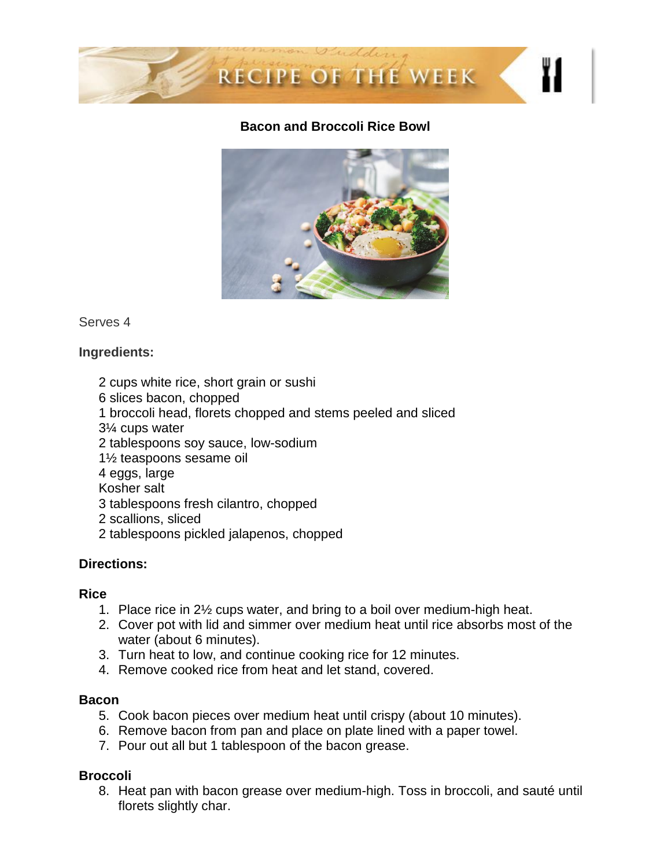

#### **Bacon and Broccoli Rice Bowl**



Serves 4

## **Ingredients:**

- 2 cups white rice, short grain or sushi
- 6 slices bacon, chopped
- 1 broccoli head, florets chopped and stems peeled and sliced
- 3¼ cups water
- 2 tablespoons soy sauce, low-sodium
- 1½ teaspoons sesame oil
- 4 eggs, large
- Kosher salt
- 3 tablespoons fresh cilantro, chopped
- 2 scallions, sliced
- 2 tablespoons pickled jalapenos, chopped

# **Directions:**

#### **Rice**

- 1. Place rice in 2½ cups water, and bring to a boil over medium-high heat.
- 2. Cover pot with lid and simmer over medium heat until rice absorbs most of the water (about 6 minutes).
- 3. Turn heat to low, and continue cooking rice for 12 minutes.
- 4. Remove cooked rice from heat and let stand, covered.

#### **Bacon**

- 5. Cook bacon pieces over medium heat until crispy (about 10 minutes).
- 6. Remove bacon from pan and place on plate lined with a paper towel.
- 7. Pour out all but 1 tablespoon of the bacon grease.

# **Broccoli**

8. Heat pan with bacon grease over medium-high. Toss in broccoli, and sauté until florets slightly char.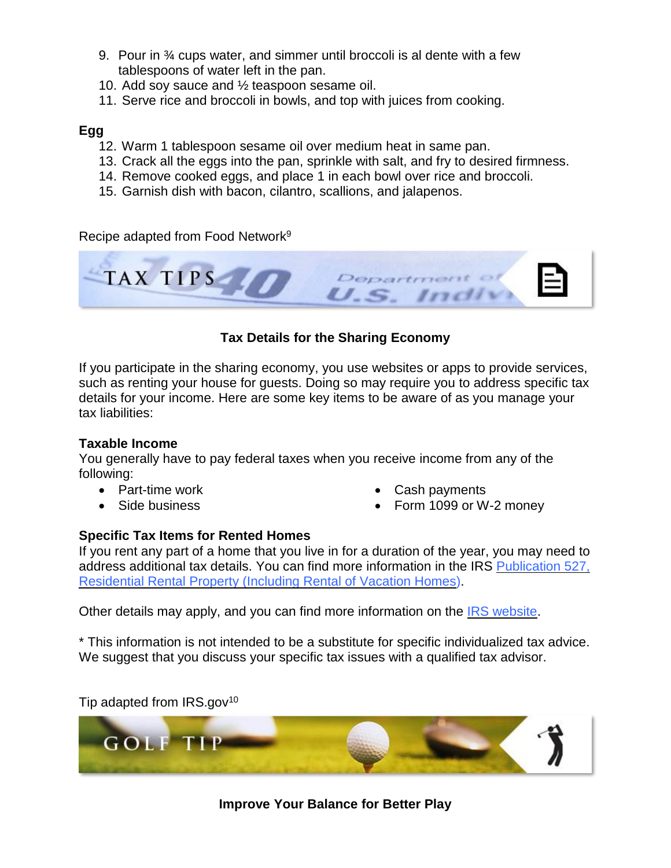- 9. Pour in 34 cups water, and simmer until broccoli is al dente with a few tablespoons of water left in the pan.
- 10. Add soy sauce and ½ teaspoon sesame oil.
- 11. Serve rice and broccoli in bowls, and top with juices from cooking.

## **Egg**

- 12. Warm 1 tablespoon sesame oil over medium heat in same pan.
- 13. Crack all the eggs into the pan, sprinkle with salt, and fry to desired firmness.
- 14. Remove cooked eggs, and place 1 in each bowl over rice and broccoli.
- 15. Garnish dish with bacon, cilantro, scallions, and jalapenos.

Recipe adapted from Food Network<sup>9</sup>

TAX TIPS U.S. Indiv

# **Tax Details for the Sharing Economy**

If you participate in the sharing economy, you use websites or apps to provide services, such as renting your house for guests. Doing so may require you to address specific tax details for your income. Here are some key items to be aware of as you manage your tax liabilities:

#### **Taxable Income**

You generally have to pay federal taxes when you receive income from any of the following:

- Part-time work
- Side business
- Cash payments
- Form 1099 or W-2 money

#### **Specific Tax Items for Rented Homes**

If you rent any part of a home that you live in for a duration of the year, you may need to address additional tax details. You can find more information in the IRS [Publication](https://www.irs.gov/forms-pubs/about-publication-527) 527, [Residential](https://www.irs.gov/forms-pubs/about-publication-527) Rental Property (Including Rental of Vacation Homes).

Other details may apply, and you can find more information on the IRS [website.](https://www.irs.gov/newsroom/participating-in-the-sharing-economy-can-affect-taxes)

\* This information is not intended to be a substitute for specific individualized tax advice. We suggest that you discuss your specific tax issues with a qualified tax advisor.

Tip adapted from  $IRS.gov^{10}$ 



# **Improve Your Balance for Better Play**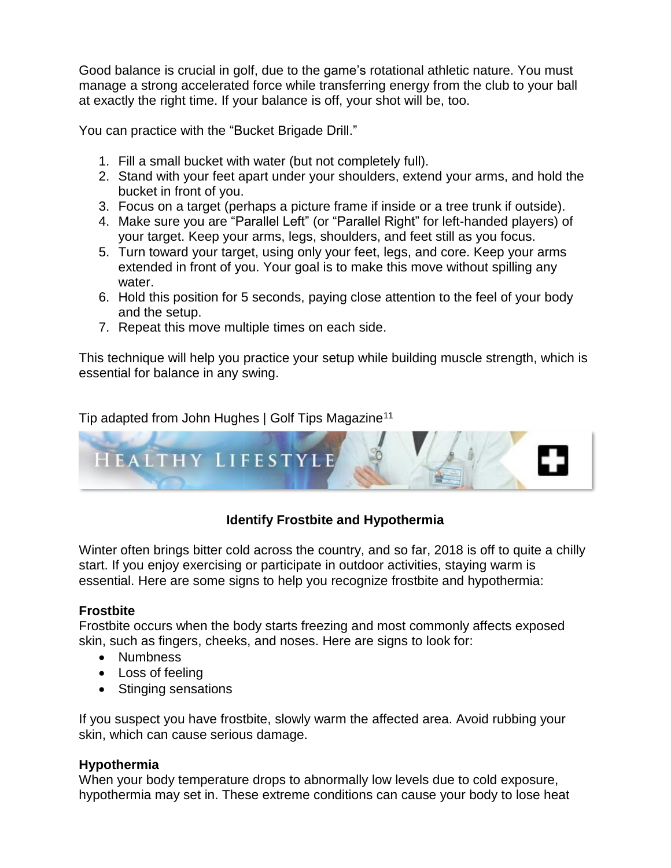Good balance is crucial in golf, due to the game's rotational athletic nature. You must manage a strong accelerated force while transferring energy from the club to your ball at exactly the right time. If your balance is off, your shot will be, too.

You can practice with the "Bucket Brigade Drill."

- 1. Fill a small bucket with water (but not completely full).
- 2. Stand with your feet apart under your shoulders, extend your arms, and hold the bucket in front of you.
- 3. Focus on a target (perhaps a picture frame if inside or a tree trunk if outside).
- 4. Make sure you are "Parallel Left" (or "Parallel Right" for left-handed players) of your target. Keep your arms, legs, shoulders, and feet still as you focus.
- 5. Turn toward your target, using only your feet, legs, and core. Keep your arms extended in front of you. Your goal is to make this move without spilling any water.
- 6. Hold this position for 5 seconds, paying close attention to the feel of your body and the setup.
- 7. Repeat this move multiple times on each side.

This technique will help you practice your setup while building muscle strength, which is essential for balance in any swing.

Tip adapted from John Hughes | Golf Tips Magazine<sup>11</sup>



# **Identify Frostbite and Hypothermia**

Winter often brings bitter cold across the country, and so far, 2018 is off to quite a chilly start. If you enjoy exercising or participate in outdoor activities, staying warm is essential. Here are some signs to help you recognize frostbite and hypothermia:

#### **Frostbite**

Frostbite occurs when the body starts freezing and most commonly affects exposed skin, such as fingers, cheeks, and noses. Here are signs to look for:

- Numbness
- Loss of feeling
- Stinging sensations

If you suspect you have frostbite, slowly warm the affected area. Avoid rubbing your skin, which can cause serious damage.

#### **Hypothermia**

When your body temperature drops to abnormally low levels due to cold exposure, hypothermia may set in. These extreme conditions can cause your body to lose heat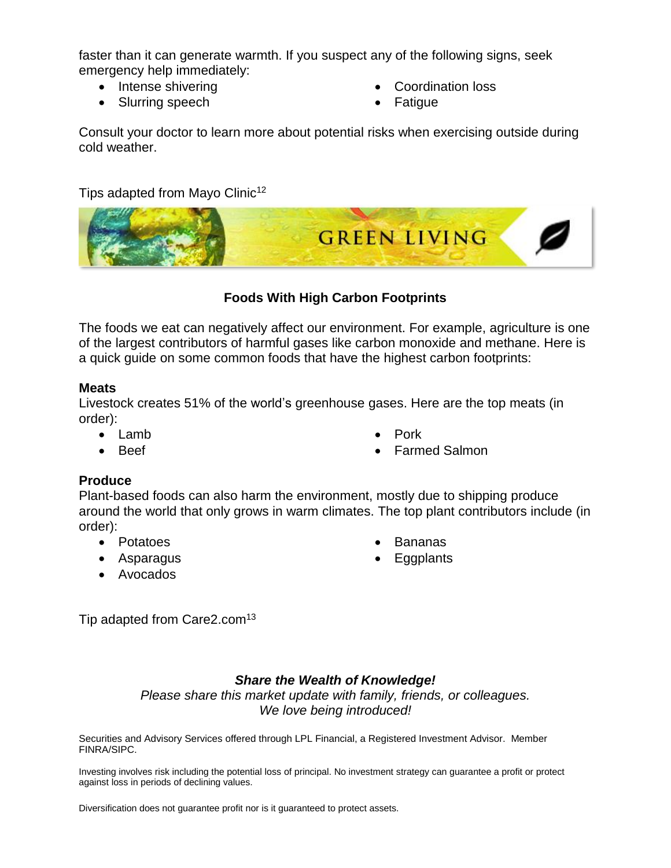faster than it can generate warmth. If you suspect any of the following signs, seek emergency help immediately:

- Intense shivering
- Slurring speech
- Coordination loss
- **Fatigue**

Consult your doctor to learn more about potential risks when exercising outside during cold weather.

Tips adapted from Mayo Clinic<sup>12</sup>



# **Foods With High Carbon Footprints**

The foods we eat can negatively affect our environment. For example, agriculture is one of the largest contributors of harmful gases like carbon monoxide and methane. Here is a quick guide on some common foods that have the highest carbon footprints:

#### **Meats**

Livestock creates 51% of the world's greenhouse gases. Here are the top meats (in order):

- Lamb
- Beef
- Pork
- Farmed Salmon

# **Produce**

Plant-based foods can also harm the environment, mostly due to shipping produce around the world that only grows in warm climates. The top plant contributors include (in order):

- Potatoes
- Asparagus
- Avocados
- Bananas
- **Eggplants**

Tip adapted from Care2.com<sup>13</sup>

# *Share the Wealth of Knowledge!*

*Please share this market update with family, friends, or colleagues. We love being introduced!*

Securities and Advisory Services offered through LPL Financial, a Registered Investment Advisor. Member FINRA/SIPC.

Investing involves risk including the potential loss of principal. No investment strategy can guarantee a profit or protect against loss in periods of declining values.

Diversification does not guarantee profit nor is it guaranteed to protect assets.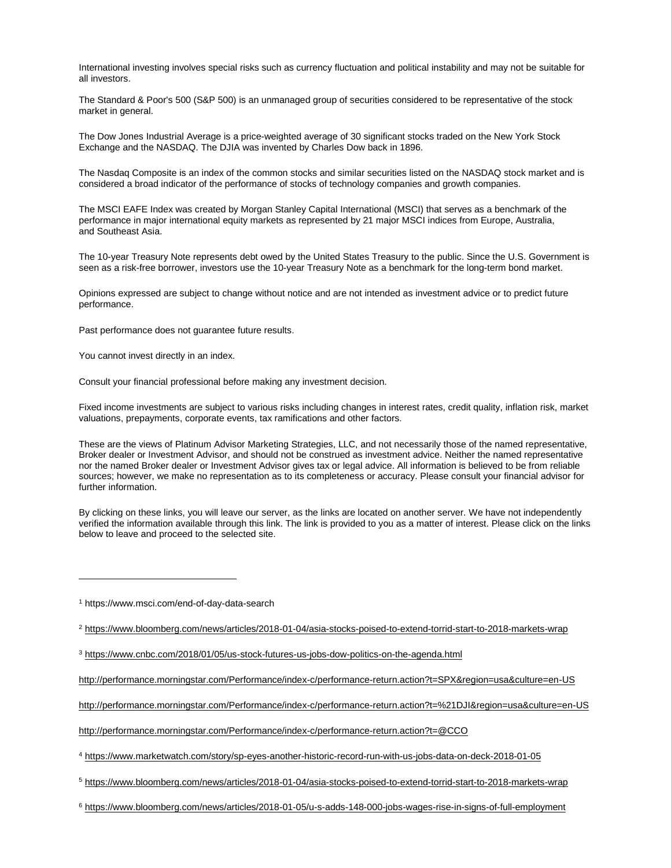International investing involves special risks such as currency fluctuation and political instability and may not be suitable for all investors.

The Standard & Poor's 500 (S&P 500) is an unmanaged group of securities considered to be representative of the stock market in general.

The Dow Jones Industrial Average is a price-weighted average of 30 significant stocks traded on the New York Stock Exchange and the NASDAQ. The DJIA was invented by Charles Dow back in 1896.

The Nasdaq Composite is an index of the common stocks and similar securities listed on the NASDAQ stock market and is considered a broad indicator of the performance of stocks of technology companies and growth companies.

The MSCI EAFE Index was created by Morgan Stanley Capital International (MSCI) that serves as a benchmark of the performance in major international equity markets as represented by 21 major MSCI indices from Europe, Australia, and Southeast Asia.

The 10-year Treasury Note represents debt owed by the United States Treasury to the public. Since the U.S. Government is seen as a risk-free borrower, investors use the 10-year Treasury Note as a benchmark for the long-term bond market.

Opinions expressed are subject to change without notice and are not intended as investment advice or to predict future performance.

Past performance does not guarantee future results.

You cannot invest directly in an index.

Consult your financial professional before making any investment decision.

Fixed income investments are subject to various risks including changes in interest rates, credit quality, inflation risk, market valuations, prepayments, corporate events, tax ramifications and other factors.

These are the views of Platinum Advisor Marketing Strategies, LLC, and not necessarily those of the named representative, Broker dealer or Investment Advisor, and should not be construed as investment advice. Neither the named representative nor the named Broker dealer or Investment Advisor gives tax or legal advice. All information is believed to be from reliable sources; however, we make no representation as to its completeness or accuracy. Please consult your financial advisor for further information.

By clicking on these links, you will leave our server, as the links are located on another server. We have not independently verified the information available through this link. The link is provided to you as a matter of interest. Please click on the links below to leave and proceed to the selected site.

<sup>1</sup> https://www.msci.com/end-of-day-data-search

 $\overline{a}$ 

<sup>2</sup> <https://www.bloomberg.com/news/articles/2018-01-04/asia-stocks-poised-to-extend-torrid-start-to-2018-markets-wrap>

[http://performance.morningstar.com/Performance/index-c/performance-return.action?t=SPX&region=usa&culture=en-US](http://performance.morningstar.com/Performance/index-c/performance-return.action?t=SPX®ion=usa&culture=en-US)

[http://performance.morningstar.com/Performance/index-c/performance-return.action?t=%21DJI&region=usa&culture=en-US](http://performance.morningstar.com/Performance/index-c/performance-return.action?t=%21DJI®ion=usa&culture=en-US)

<http://performance.morningstar.com/Performance/index-c/performance-return.action?t=@CCO>

<sup>4</sup> <https://www.marketwatch.com/story/sp-eyes-another-historic-record-run-with-us-jobs-data-on-deck-2018-01-05>

<sup>5</sup> <https://www.bloomberg.com/news/articles/2018-01-04/asia-stocks-poised-to-extend-torrid-start-to-2018-markets-wrap>

<sup>6</sup> <https://www.bloomberg.com/news/articles/2018-01-05/u-s-adds-148-000-jobs-wages-rise-in-signs-of-full-employment>

<sup>3</sup> <https://www.cnbc.com/2018/01/05/us-stock-futures-us-jobs-dow-politics-on-the-agenda.html>